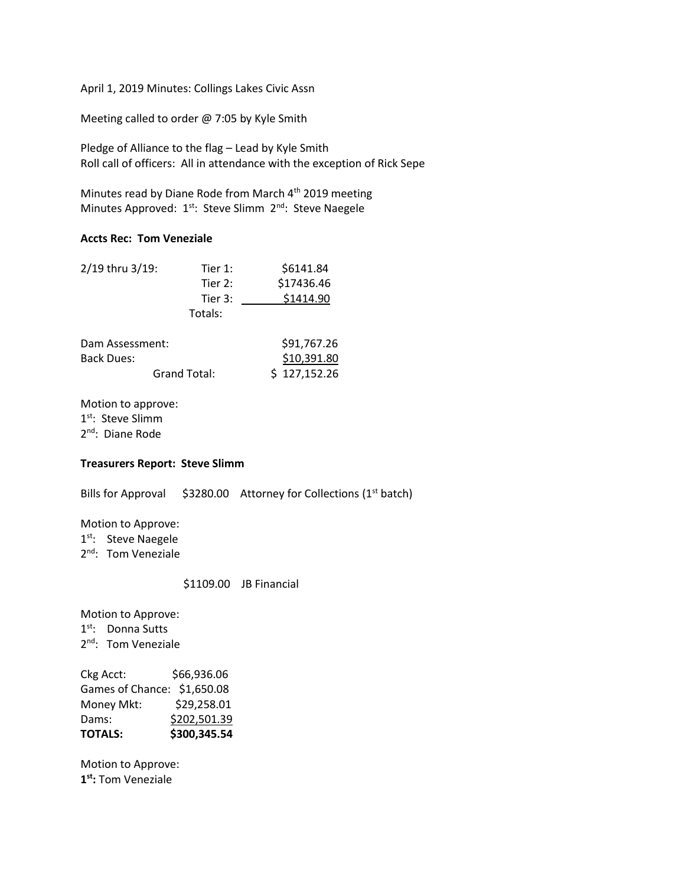April 1, 2019 Minutes: Collings Lakes Civic Assn

Meeting called to order @ 7:05 by Kyle Smith

Pledge of Alliance to the flag – Lead by Kyle Smith Roll call of officers: All in attendance with the exception of Rick Sepe

Minutes read by Diane Rode from March 4<sup>th</sup> 2019 meeting Minutes Approved: 1<sup>st</sup>: Steve Slimm 2<sup>nd</sup>: Steve Naegele

## **Accts Rec: Tom Veneziale**

| 2/19 thru 3/19: | Tier 1:   | \$6141.84   |
|-----------------|-----------|-------------|
|                 | Tier $2:$ | \$17436.46  |
|                 | Tier 3:   | \$1414.90   |
|                 | Totals:   |             |
| Dam Assessment: |           | \$91,767.26 |

| _ _ _ _ _ _ _ _ _ _ _ _ _ _ _ _ _ _ | _________    |              |
|-------------------------------------|--------------|--------------|
| Back Dues:                          |              | \$10,391.80  |
|                                     | Grand Total: | \$127,152.26 |

Motion to approve: 1<sup>st</sup>: Steve Slimm 2<sup>nd</sup>: Diane Rode

## **Treasurers Report: Steve Slimm**

Bills for Approval  $$3280.00$  Attorney for Collections (1<sup>st</sup> batch)

Motion to Approve: 1<sup>st</sup>: Steve Naegele 2<sup>nd</sup>: Tom Veneziale

\$1109.00 JB Financial

Motion to Approve: 1<sup>st</sup>: Donna Sutts 2<sup>nd</sup>: Tom Veneziale

Ckg Acct: \$66,936.06 Games of Chance: \$1,650.08 Money Mkt: \$29,258.01 Dams: \$202,501.39 **TOTALS: \$300,345.54**

Motion to Approve: **1 st:** Tom Veneziale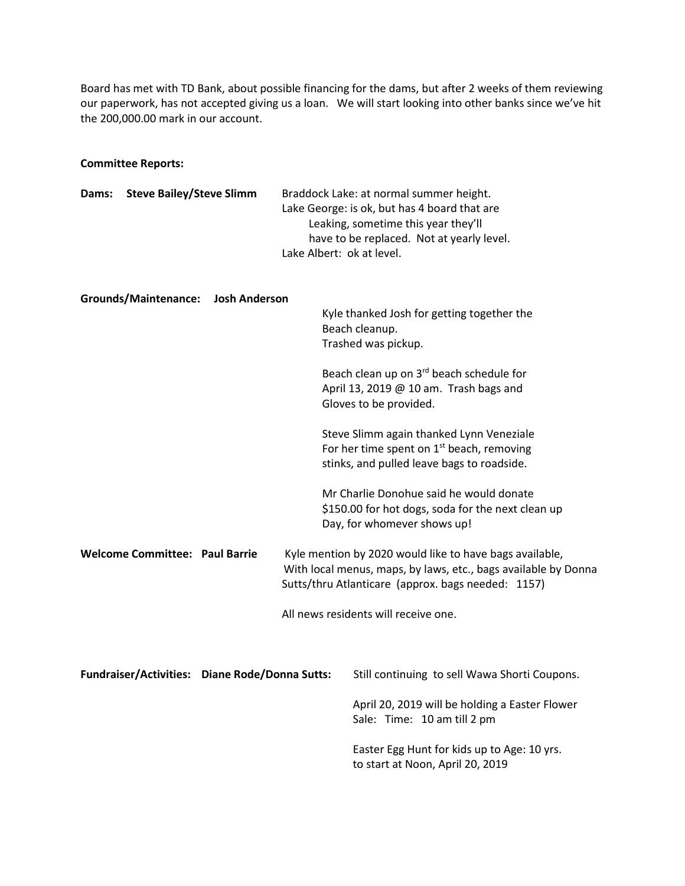Board has met with TD Bank, about possible financing for the dams, but after 2 weeks of them reviewing our paperwork, has not accepted giving us a loan. We will start looking into other banks since we've hit the 200,000.00 mark in our account.

## **Committee Reports:**

| Dams: | <b>Steve Bailey/Steve Slimm</b>       |                                                | Braddock Lake: at normal summer height.<br>Lake George: is ok, but has 4 board that are<br>Leaking, sometime this year they'll<br>have to be replaced. Not at yearly level.<br>Lake Albert: ok at level. |                                                                                                                                       |  |
|-------|---------------------------------------|------------------------------------------------|----------------------------------------------------------------------------------------------------------------------------------------------------------------------------------------------------------|---------------------------------------------------------------------------------------------------------------------------------------|--|
|       | <b>Grounds/Maintenance:</b>           | <b>Josh Anderson</b>                           |                                                                                                                                                                                                          | Kyle thanked Josh for getting together the<br>Beach cleanup.<br>Trashed was pickup.                                                   |  |
|       |                                       |                                                |                                                                                                                                                                                                          | Beach clean up on 3rd beach schedule for<br>April 13, 2019 @ 10 am. Trash bags and<br>Gloves to be provided.                          |  |
|       |                                       |                                                |                                                                                                                                                                                                          | Steve Slimm again thanked Lynn Veneziale<br>For her time spent on $1st$ beach, removing<br>stinks, and pulled leave bags to roadside. |  |
|       |                                       |                                                |                                                                                                                                                                                                          | Mr Charlie Donohue said he would donate<br>\$150.00 for hot dogs, soda for the next clean up<br>Day, for whomever shows up!           |  |
|       | <b>Welcome Committee: Paul Barrie</b> |                                                | Kyle mention by 2020 would like to have bags available,<br>With local menus, maps, by laws, etc., bags available by Donna<br>Sutts/thru Atlanticare (approx. bags needed: 1157)                          |                                                                                                                                       |  |
|       |                                       |                                                | All news residents will receive one.                                                                                                                                                                     |                                                                                                                                       |  |
|       |                                       | Fundraiser/Activities: Diane Rode/Donna Sutts: |                                                                                                                                                                                                          | Still continuing to sell Wawa Shorti Coupons.                                                                                         |  |
|       |                                       |                                                |                                                                                                                                                                                                          | April 20, 2019 will be holding a Easter Flower<br>Sale: Time: 10 am till 2 pm                                                         |  |
|       |                                       |                                                |                                                                                                                                                                                                          | Easter Egg Hunt for kids up to Age: 10 yrs.<br>to start at Noon, April 20, 2019                                                       |  |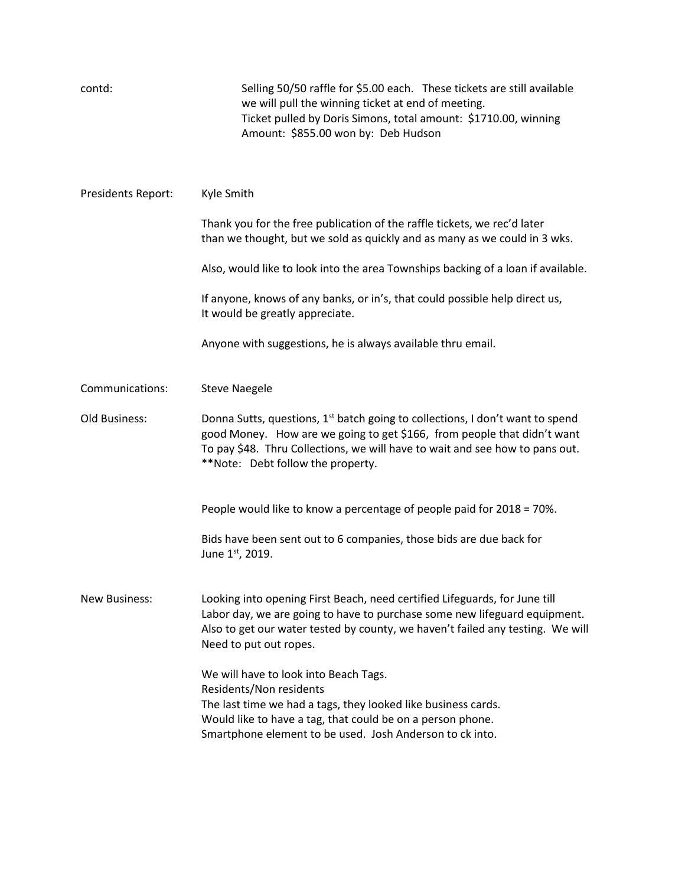| contd:               | Selling 50/50 raffle for \$5.00 each. These tickets are still available<br>we will pull the winning ticket at end of meeting.<br>Ticket pulled by Doris Simons, total amount: \$1710.00, winning<br>Amount: \$855.00 won by: Deb Hudson                                                   |
|----------------------|-------------------------------------------------------------------------------------------------------------------------------------------------------------------------------------------------------------------------------------------------------------------------------------------|
| Presidents Report:   | Kyle Smith                                                                                                                                                                                                                                                                                |
|                      | Thank you for the free publication of the raffle tickets, we rec'd later<br>than we thought, but we sold as quickly and as many as we could in 3 wks.                                                                                                                                     |
|                      | Also, would like to look into the area Townships backing of a loan if available.                                                                                                                                                                                                          |
|                      | If anyone, knows of any banks, or in's, that could possible help direct us,<br>It would be greatly appreciate.                                                                                                                                                                            |
|                      | Anyone with suggestions, he is always available thru email.                                                                                                                                                                                                                               |
| Communications:      | <b>Steve Naegele</b>                                                                                                                                                                                                                                                                      |
| Old Business:        | Donna Sutts, questions, 1 <sup>st</sup> batch going to collections, I don't want to spend<br>good Money. How are we going to get \$166, from people that didn't want<br>To pay \$48. Thru Collections, we will have to wait and see how to pans out.<br>**Note: Debt follow the property. |
|                      | People would like to know a percentage of people paid for 2018 = 70%.                                                                                                                                                                                                                     |
|                      | Bids have been sent out to 6 companies, those bids are due back for<br>June 1st, 2019.                                                                                                                                                                                                    |
| <b>New Business:</b> | Looking into opening First Beach, need certified Lifeguards, for June till<br>Labor day, we are going to have to purchase some new lifeguard equipment.<br>Also to get our water tested by county, we haven't failed any testing. We will<br>Need to put out ropes.                       |
|                      | We will have to look into Beach Tags.<br>Residents/Non residents<br>The last time we had a tags, they looked like business cards.<br>Would like to have a tag, that could be on a person phone.<br>Smartphone element to be used. Josh Anderson to ck into.                               |